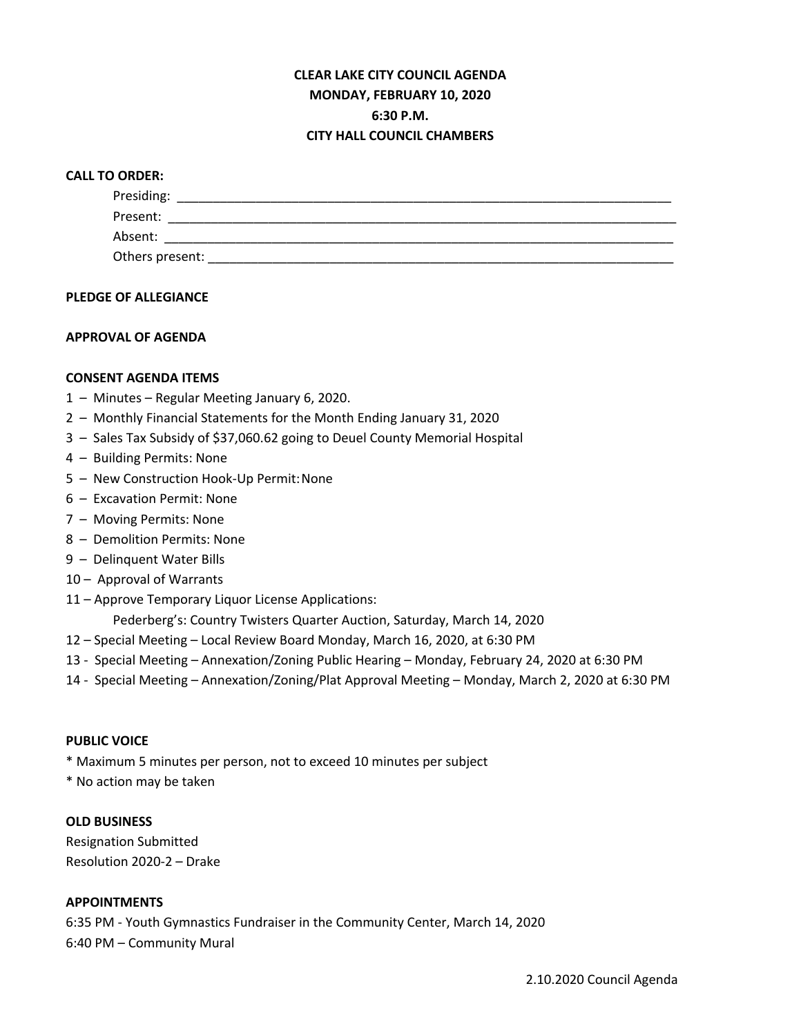# **CLEAR LAKE CITY COUNCIL AGENDA MONDAY, FEBRUARY 10, 2020 6:30 P.M. CITY HALL COUNCIL CHAMBERS**

## **CALL TO ORDER:**

| Presiding:      |  |  |  |
|-----------------|--|--|--|
| Present:        |  |  |  |
| Absent:         |  |  |  |
| Others present: |  |  |  |

### **PLEDGE OF ALLEGIANCE**

### **APPROVAL OF AGENDA**

### **CONSENT AGENDA ITEMS**

- 1 Minutes Regular Meeting January 6, 2020.
- 2 Monthly Financial Statements for the Month Ending January 31, 2020
- 3 Sales Tax Subsidy of \$37,060.62 going to Deuel County Memorial Hospital
- 4 Building Permits: None
- 5 New Construction Hook-Up Permit:None
- 6 Excavation Permit: None
- 7 Moving Permits: None
- 8 Demolition Permits: None
- 9 Delinquent Water Bills
- 10 Approval of Warrants
- 11 Approve Temporary Liquor License Applications:
	- Pederberg's: Country Twisters Quarter Auction, Saturday, March 14, 2020
- 12 Special Meeting Local Review Board Monday, March 16, 2020, at 6:30 PM
- 13 Special Meeting Annexation/Zoning Public Hearing Monday, February 24, 2020 at 6:30 PM
- 14 Special Meeting Annexation/Zoning/Plat Approval Meeting Monday, March 2, 2020 at 6:30 PM

#### **PUBLIC VOICE**

- \* Maximum 5 minutes per person, not to exceed 10 minutes per subject
- \* No action may be taken

#### **OLD BUSINESS**

Resignation Submitted Resolution 2020-2 – Drake

#### **APPOINTMENTS**

6:35 PM - Youth Gymnastics Fundraiser in the Community Center, March 14, 2020 6:40 PM – Community Mural